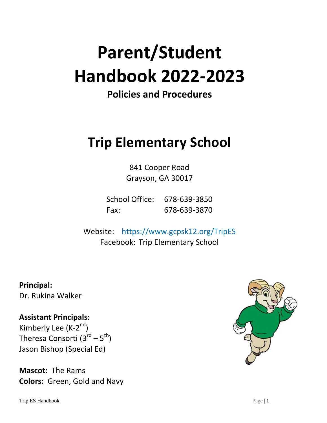# **Parent/Student Handbook 2022-2023**

## **Policies and Procedures**

# **Trip Elementary School**

841 Cooper Road Grayson, GA 30017

School Office: 678-639-3850 Fax: 678-639-3870

Website: https://www.gcpsk12.org/TripES Facebook: Trip Elementary School

**Principal:** Dr. Rukina Walker

### **Assistant Principals:**

Kimberly Lee (K-2<sup>nd</sup>) Theresa Consorti (3<sup>rd</sup> – 5<sup>th</sup>) Jason Bishop (Special Ed)

**Mascot:** The Rams **Colors:** Green, Gold and Navy

Trip ES Handbook Page | 1

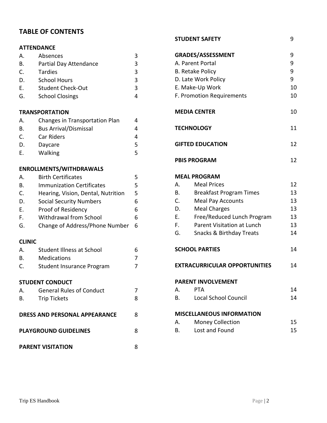#### **TABLE OF CONTENTS**

#### **ATTENDANCE**

| Absences                 |   |
|--------------------------|---|
| Partial Day Attendance   | ર |
| Tardies                  | ς |
| <b>School Hours</b>      | ς |
| <b>Student Check-Out</b> | ર |
| <b>School Closings</b>   |   |
|                          |   |

#### **TRANSPORTATION**

| Α. | Changes in Transportation Plan |    |
|----|--------------------------------|----|
| В. | <b>Bus Arrival/Dismissal</b>   |    |
| C. | Car Riders                     |    |
| D. | Daycare                        | 5. |
| F. | Walking                        | 5. |

#### **ENROLLMENTS/WITHDRAWALS**

| $\mathsf{A}$ .                       | <b>Birth Certificates</b>          | 5 |  |
|--------------------------------------|------------------------------------|---|--|
| В.                                   | <b>Immunization Certificates</b>   | 5 |  |
| C.                                   | Hearing, Vision, Dental, Nutrition | 5 |  |
| D.                                   | <b>Social Security Numbers</b>     | 6 |  |
| Е.                                   | Proof of Residency                 | 6 |  |
| F.                                   | <b>Withdrawal from School</b>      | 6 |  |
| G.                                   | Change of Address/Phone Number     | 6 |  |
| <b>CLINIC</b>                        |                                    |   |  |
| А.                                   | <b>Student Illness at School</b>   | 6 |  |
| В.                                   | <b>Medications</b>                 | 7 |  |
| C.                                   | <b>Student Insurance Program</b>   | 7 |  |
|                                      | <b>STUDENT CONDUCT</b>             |   |  |
| А.                                   | <b>General Rules of Conduct</b>    | 7 |  |
| В.                                   | <b>Trip Tickets</b>                | 8 |  |
| <b>DRESS AND PERSONAL APPEARANCE</b> |                                    |   |  |
| <b>PLAYGROUND GUIDELINES</b>         |                                    |   |  |

#### **PARENT VISITATION** 8

#### **STUDENT SAFETY** 9

| GRADES/ASSESSMENT         | 9                                    |    |
|---------------------------|--------------------------------------|----|
| A. Parent Portal          | 9                                    |    |
| <b>B. Retake Policy</b>   | 9                                    |    |
| D. Late Work Policy       | 9                                    |    |
| E. Make-Up Work           | 10                                   |    |
| F. Promotion Requirements | 10                                   |    |
|                           |                                      |    |
| <b>MEDIA CENTER</b>       |                                      | 10 |
| <b>TECHNOLOGY</b>         |                                      | 11 |
|                           | <b>GIFTED EDUCATION</b>              | 12 |
| <b>PBIS PROGRAM</b>       |                                      | 12 |
|                           | <b>MEAL PROGRAM</b>                  |    |
| A.                        | <b>Meal Prices</b>                   | 12 |
| B.                        | <b>Breakfast Program Times</b>       | 13 |
| $C_{1}$                   | <b>Meal Pay Accounts</b>             | 13 |
| D.                        | <b>Meal Charges</b>                  | 13 |
| $E_{\rm{max}}$            | Free/Reduced Lunch Program           | 13 |
| F.                        | Parent Visitation at Lunch           | 13 |
| G.                        | <b>Snacks &amp; Birthday Treats</b>  | 14 |
| <b>SCHOOL PARTIES</b>     |                                      | 14 |
|                           | <b>EXTRACURRICULAR OPPORTUNITIES</b> | 14 |
|                           | <b>PARENT INVOLVEMENT</b>            |    |
| А.                        | PTA                                  | 14 |
| В.                        | <b>Local School Council</b>          | 14 |
|                           | <b>MISCELLANEOUS INFORMATION</b>     |    |
| А.                        | <b>Money Collection</b>              | 15 |
| В.                        | Lost and Found                       | 15 |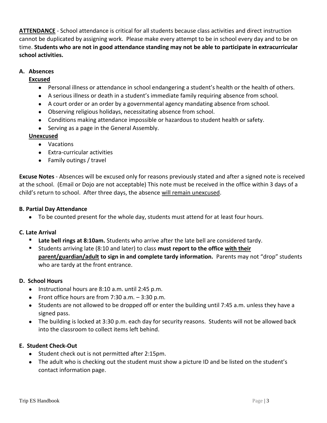**ATTENDANCE** - School attendance is critical for all students because class activities and direct instruction cannot be duplicated by assigning work. Please make every attempt to be in school every day and to be on time. **Students who are not in good attendance standing may not be able to participate in extracurricular school activities.**

#### **A. Absences**

#### **Excused**

- Personal illness or attendance in school endangering a student's health or the health of others.
- A serious illness or death in a student's immediate family requiring absence from school.
- A court order or an order by a governmental agency mandating absence from school.
- Observing religious holidays, necessitating absence from school.
- Conditions making attendance impossible or hazardous to student health or safety.
- Serving as a page in the General Assembly.

#### **Unexcused**

- Vacations
- Extra-curricular activities
- Family outings / travel

**Excuse Notes** - Absences will be excused only for reasons previously stated and after a signed note is received at the school. (Email or Dojo are not acceptable) This note must be received in the office within 3 days of a child's return to school. After three days, the absence will remain unexcused.

#### **B. Partial Day Attendance**

To be counted present for the whole day, students must attend for at least four hours.

#### **C. Late Arrival**

- **Late bell rings at 8:10am.** Students who arrive after the late bell are considered tardy.
- Students arriving late (8:10 and later) to class **must report to the office with their parent/guardian/adult to sign in and complete tardy information.** Parents may not "drop" students who are tardy at the front entrance.

#### **D. School Hours**

- $\bullet$  Instructional hours are 8:10 a.m. until 2:45 p.m.
- Front office hours are from  $7:30$  a.m.  $-3:30$  p.m.
- Students are not allowed to be dropped off or enter the building until 7:45 a.m. unless they have a signed pass.
- The building is locked at 3:30 p.m. each day for security reasons. Students will not be allowed back into the classroom to collect items left behind.

#### **E. Student Check-Out**

- Student check out is not permitted after 2:15pm.
- The adult who is checking out the student must show a picture ID and be listed on the student's contact information page.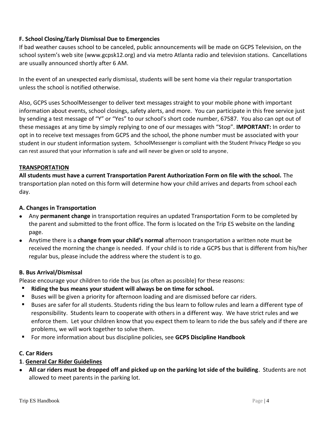#### **F. School Closing/Early Dismissal Due to Emergencies**

If bad weather causes school to be canceled, public announcements will be made on GCPS Television, on the school system's web site (www.gcpsk12.org) and via metro Atlanta radio and television stations. Cancellations are usually announced shortly after 6 AM.

In the event of an unexpected early dismissal, students will be sent home via their regular transportation unless the school is notified otherwise.

Also, GCPS uses SchoolMessenger to deliver text messages straight to your mobile phone with important information about events, school closings, safety alerts, and more. You can participate in this free service just by sending a test message of "Y" or "Yes" to our school's short code number, 67587. You also can opt out of these messages at any time by simply replying to one of our messages with "Stop". **IMPORTANT:** In order to opt in to receive text messages from GCPS and the school, the phone number must be associated with your student in our student information system. SchoolMessenger is compliant with the Student Privacy Pledge so you can rest assured that your information is safe and will never be given or sold to anyone.

#### **TRANSPORTATION**

**All students must have a current Transportation Parent Authorization Form on file with the school.** The transportation plan noted on this form will determine how your child arrives and departs from school each day.

#### **A. Changes in Transportation**

- Any **permanent change** in transportation requires an updated Transportation Form to be completed by the parent and submitted to the front office. The form is located on the Trip ES website on the landing page.
- Anytime there is a **change from your child's normal** afternoon transportation a written note must be received the morning the change is needed. If your child is to ride a GCPS bus that is different from his/her regular bus, please include the address where the student is to go.

#### **B. Bus Arrival/Dismissal**

Please encourage your children to ride the bus (as often as possible) for these reasons:

- **Riding the bus means your student will always be on time for school.**
- Buses will be given a priority for afternoon loading and are dismissed before car riders.
- Buses are safer for all students. Students riding the bus learn to follow rules and learn a different type of responsibility. Students learn to cooperate with others in a different way. We have strict rules and we enforce them. Let your children know that you expect them to learn to ride the bus safely and if there are problems, we will work together to solve them.
- For more information about bus discipline policies, see **GCPS Discipline Handbook**

#### **C. Car Riders**

#### **1**. **General Car Rider Guidelines**

 **All car riders must be dropped off and picked up on the parking lot side of the building**. Students are not allowed to meet parents in the parking lot.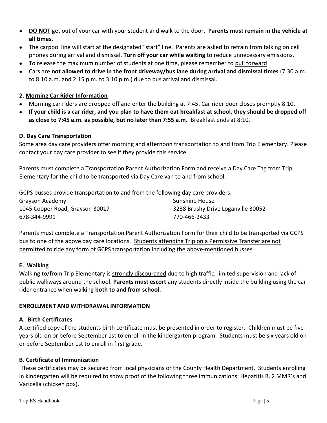- **DO NOT** get out of your car with your student and walk to the door. **Parents must remain in the vehicle at all times.**
- The carpool line will start at the designated "start" line. Parents are asked to refrain from talking on cell phones during arrival and dismissal. **Turn off your car while waiting** to reduce unnecessary emissions.
- To release the maximum number of students at one time, please remember to pull forward
- Cars are **not allowed to drive in the front driveway/bus lane during arrival and dismissal times** (7:30 a.m. to 8:10 a.m. and 2:15 p.m. to 3:10 p.m.) due to bus arrival and dismissal.

#### **2. Morning Car Rider Information**

- Morning car riders are dropped off and enter the building at 7:45. Car rider door closes promptly 8:10.
- **If your child is a car rider, and you plan to have them eat breakfast at school, they should be dropped off as close to 7:45 a.m. as possible, but no later than 7:55 a.m.** Breakfast ends at 8:10.

#### **D. Day Care Transportation**

Some area day care providers offer morning and afternoon transportation to and from Trip Elementary. Please contact your day care provider to see if they provide this service.

Parents must complete a Transportation Parent Authorization Form and receive a Day Care Tag from Trip Elementary for the child to be transported via Day Care van to and from school.

GCPS busses provide transportation to and from the following day care providers. Grayson Academy Sunshine House Sunshine House 1045 Cooper Road, Grayson 30017 3238 Brushy Drive Loganville 30052 678-344-9991 770-466-2433

Parents must complete a Transportation Parent Authorization Form for their child to be transported via GCPS bus to one of the above day care locations. Students attending Trip on a Permissive Transfer are not permitted to ride any form of GCPS transportation including the above-mentioned busses.

#### **E. Walking**

Walking to/from Trip Elementary is strongly discouraged due to high traffic, limited supervision and lack of public walkways around the school. **Parents must escort** any students directly inside the building using the car rider entrance when walking **both to and from school**.

#### **ENROLLMENT AND WITHDRAWAL INFORMATION**

#### **A. Birth Certificates**

A certified copy of the students birth certificate must be presented in order to register. Children must be five years old on or before September 1st to enroll in the kindergarten program. Students must be six years old on or before September 1st to enroll in first grade.

#### **B. Certificate of Immunization**

These certificates may be secured from local physicians or the County Health Department. Students enrolling in kindergarten will be required to show proof of the following three immunizations: Hepatitis B, 2 MMR's and Varicella (chicken pox).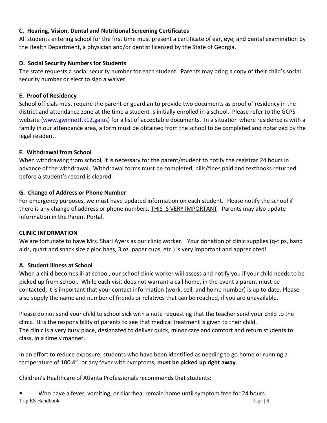#### **C. Hearing, Vision, Dental and Nutritional Screening Certificates**

All students entering school for the first time must present a certificate of ear, eye, and dental examination by the Health Department, a physician and/or dentist licensed by the State of Georgia.

#### **D. Social Security Numbers for Students**

The state requests a social security number for each student. Parents may bring a copy of their child's social security number or elect to sign a waiver.

#### **E. Proof of Residency**

School officials must require the parent or guardian to provide two documents as proof of residency in the district and attendance zone at the time a student is initially enrolled in a school. Please refer to the GCPS website [\(www.gwinnett.k12.ga.us\)](http://www.gwinnett.k12.ga.us/) for a list of acceptable documents. In a situation where residence is with a family in our attendance area, a form must be obtained from the school to be completed and notarized by the legal resident.

#### **F. Withdrawal from School**

When withdrawing from school, it is necessary for the parent/student to notify the registrar 24 hours in advance of the withdrawal. Withdrawal forms must be completed, bills/fines paid and textbooks returned before a student's record is cleared.

#### **G. Change of Address or Phone Number**

For emergency purposes, we must have updated information on each student. Please notify the school if there is any change of address or phone numbers. THIS IS VERY IMPORTANT. Parents may also update information in the Parent Portal.

#### **CLINIC INFORMATION**

We are fortunate to have Mrs. Shari Ayers as our clinic worker. Your donation of clinic supplies (q-tips, band aids, quart and snack size ziploc bags, 3 oz. paper cups, etc.) is very important and appreciated!

#### **A. Student Illness at School**

When a child becomes ill at school, our school clinic worker will assess and notify you if your child needs to be picked up from school. While each visit does not warrant a call home, in the event a parent must be contacted, it is important that your contact information (work, cell, and home number) is up to date. Please also supply the name and number of friends or relatives that can be reached, if you are unavailable.

Please do not send your child to school sick with a note requesting that the teacher send your child to the clinic. It is the responsibility of parents to see that medical treatment is given to their child. The clinic is a very busy place, designated to deliver quick, minor care and comfort and return students to class, in a timely manner.

In an effort to reduce exposure, students who have been identified as needing to go home or running a temperature of 100.4<sup>°</sup> or any fever with symptoms, **must be picked up right away**.

Children's Healthcare of Atlanta Professionals recommends that students:

Trip ES Handbook Page | 6 Who have a fever, vomiting, or diarrhea; remain home until symptom free for 24 hours.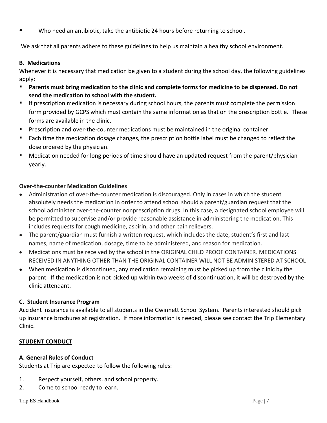Who need an antibiotic, take the antibiotic 24 hours before returning to school.

We ask that all parents adhere to these guidelines to help us maintain a healthy school environment.

#### **B. Medications**

Whenever it is necessary that medication be given to a student during the school day, the following guidelines apply:

- **Parents must bring medication to the clinic and complete forms for medicine to be dispensed. Do not send the medication to school with the student.**
- **If prescription medication is necessary during school hours, the parents must complete the permission** form provided by GCPS which must contain the same information as that on the prescription bottle. These forms are available in the clinic.
- Prescription and over-the-counter medications must be maintained in the original container.
- Each time the medication dosage changes, the prescription bottle label must be changed to reflect the dose ordered by the physician.
- Medication needed for long periods of time should have an updated request from the parent/physician yearly.

#### **Over-the-counter Medication Guidelines**

- Administration of over-the-counter medication is discouraged. Only in cases in which the student absolutely needs the medication in order to attend school should a parent/guardian request that the school administer over-the-counter nonprescription drugs. In this case, a designated school employee will be permitted to supervise and/or provide reasonable assistance in administering the medication. This includes requests for cough medicine, aspirin, and other pain relievers.
- The parent/guardian must furnish a written request, which includes the date, student's first and last names, name of medication, dosage, time to be administered, and reason for medication.
- Medications must be received by the school in the ORIGINAL CHILD PROOF CONTAINER. MEDICATIONS RECEIVED IN ANYTHING OTHER THAN THE ORIGINAL CONTAINER WILL NOT BE ADMINISTERED AT SCHOOL
- When medication is discontinued, any medication remaining must be picked up from the clinic by the parent. If the medication is not picked up within two weeks of discontinuation, it will be destroyed by the clinic attendant.

#### **C. Student Insurance Program**

Accident insurance is available to all students in the Gwinnett School System. Parents interested should pick up insurance brochures at registration. If more information is needed, please see contact the Trip Elementary Clinic.

#### **STUDENT CONDUCT**

#### **A. General Rules of Conduct**

Students at Trip are expected to follow the following rules:

- 1. Respect yourself, others, and school property.
- 2. Come to school ready to learn.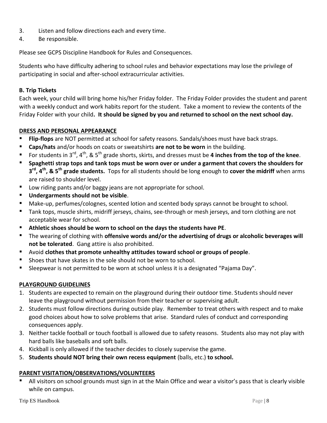- 3. Listen and follow directions each and every time.
- 4. Be responsible.

Please see GCPS Discipline Handbook for Rules and Consequences.

Students who have difficulty adhering to school rules and behavior expectations may lose the privilege of participating in social and after-school extracurricular activities.

#### **B. Trip Tickets**

Each week, your child will bring home his/her Friday folder. The Friday Folder provides the student and parent with a weekly conduct and work habits report for the student. Take a moment to review the contents of the Friday Folder with your child**. It should be signed by you and returned to school on the next school day.**

#### **DRESS AND PERSONAL APPEARANCE**

- **Flip-flops** are NOT permitted at school for safety reasons. Sandals/shoes must have back straps.
- **Caps/hats** and/or hoods on coats or sweatshirts **are not to be worn** in the building.
- For students in 3<sup>rd</sup>, 4<sup>th</sup>, & 5<sup>th</sup> grade shorts, skirts, and dresses must be 4 inches from the top of the knee.
- **Spaghetti strap tops and tank tops must be worn over or under a garment that covers the shoulders for 3 rd, 4th, & 5th grade students.** Tops for all students should be long enough to **cover the midriff** when arms are raised to shoulder level.
- Low riding pants and/or baggy jeans are not appropriate for school.
- **Undergarments should not be visible**.
- Make-up, perfumes/colognes, scented lotion and scented body sprays cannot be brought to school.
- Tank tops, muscle shirts, midriff jerseys, chains, see-through or mesh jerseys, and torn clothing are not acceptable wear for school.
- **Athletic shoes should be worn to school on the days the students have PE**.
- The wearing of clothing with **offensive words and/or the advertising of drugs or alcoholic beverages will not be tolerated**. Gang attire is also prohibited.
- Avoid **clothes that promote unhealthy attitudes toward school or groups of people**.
- Shoes that have skates in the sole should not be worn to school.
- Sleepwear is not permitted to be worn at school unless it is a designated "Pajama Day".

#### **PLAYGROUND GUIDELINES**

- 1. Students are expected to remain on the playground during their outdoor time. Students should never leave the playground without permission from their teacher or supervising adult.
- 2. Students must follow directions during outside play. Remember to treat others with respect and to make good choices about how to solve problems that arise. Standard rules of conduct and corresponding consequences apply.
- 3. Neither tackle football or touch football is allowed due to safety reasons. Students also may not play with hard balls like baseballs and soft balls.
- 4. Kickball is only allowed if the teacher decides to closely supervise the game.
- 5. **Students should NOT bring their own recess equipment** (balls, etc.) **to school.**

#### **PARENT VISITATION/OBSERVATIONS/VOLUNTEERS**

 All visitors on school grounds must sign in at the Main Office and wear a visitor's pass that is clearly visible while on campus.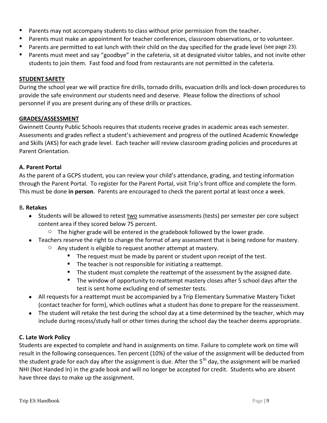- Parents may not accompany students to class without prior permission from the teacher**.**
- Parents must make an appointment for teacher conferences, classroom observations, or to volunteer.
- Parents are permitted to eat lunch with their child on the day specified for the grade level (see page 23).
- Parents must meet and say "goodbye" in the cafeteria, sit at designated visitor tables, and not invite other students to join them. Fast food and food from restaurants are not permitted in the cafeteria.

#### **STUDENT SAFETY**

During the school year we will practice fire drills, tornado drills, evacuation drills and lock-down procedures to provide the safe environment our students need and deserve. Please follow the directions of school personnel if you are present during any of these drills or practices.

#### **GRADES/ASSESSMENT**

Gwinnett County Public Schools requires that students receive grades in academic areas each semester. Assessments and grades reflect a student's achievement and progress of the outlined Academic Knowledge and Skills (AKS) for each grade level. Each teacher will review classroom grading policies and procedures at Parent Orientation.

#### **A. Parent Portal**

As the parent of a GCPS student, you can review your child's attendance, grading, and testing information through the Parent Portal. To register for the Parent Portal, visit Trip's front office and complete the form. This must be done **in person**. Parents are encouraged to check the parent portal at least once a week.

#### B**. Retakes**

- Students will be allowed to retest two summative assessments (tests) per semester per core subject content area if they scored below 75 percent.
	- $\circ$  The higher grade will be entered in the gradebook followed by the lower grade.
- Teachers reserve the right to change the format of any assessment that is being redone for mastery.
	- o Any student is eligible to request another attempt at mastery.
		- The request must be made by parent or student upon receipt of the test.
		- **The teacher is not responsible for initiating a reattempt.**
		- The student must complete the reattempt of the assessment by the assigned date.
		- **The window of opportunity to reattempt mastery closes after 5 school days after the** test is sent home excluding end of semester tests.
- All requests for a reattempt must be accompanied by a Trip Elementary Summative Mastery Ticket (contact teacher for form), which outlines what a student has done to prepare for the reassessment.
- The student will retake the test during the school day at a time determined by the teacher, which may include during recess/study hall or other times during the school day the teacher deems appropriate.

#### **C. Late Work Policy**

Students are expected to complete and hand in assignments on time. Failure to complete work on time will result in the following consequences. Ten percent (10%) of the value of the assignment will be deducted from the student grade for each day after the assignment is due. After the 5<sup>th</sup> day, the assignment will be marked NHI (Not Handed In) in the grade book and will no longer be accepted for credit. Students who are absent have three days to make up the assignment.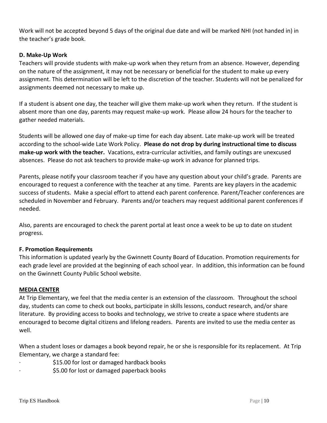Work will not be accepted beyond 5 days of the original due date and will be marked NHI (not handed in) in the teacher's grade book.

#### **D. Make-Up Work**

Teachers will provide students with make-up work when they return from an absence. However, depending on the nature of the assignment, it may not be necessary or beneficial for the student to make up every assignment. This determination will be left to the discretion of the teacher. Students will not be penalized for assignments deemed not necessary to make up.

If a student is absent one day, the teacher will give them make-up work when they return. If the student is absent more than one day, parents may request make-up work. Please allow 24 hours for the teacher to gather needed materials.

Students will be allowed one day of make-up time for each day absent. Late make-up work will be treated according to the school-wide Late Work Policy. **Please do not drop by during instructional time to discuss make-up work with the teacher.** Vacations, extra-curricular activities, and family outings are unexcused absences. Please do not ask teachers to provide make-up work in advance for planned trips.

Parents, please notify your classroom teacher if you have any question about your child's grade. Parents are encouraged to request a conference with the teacher at any time. Parents are key players in the academic success of students. Make a special effort to attend each parent conference. Parent/Teacher conferences are scheduled in November and February. Parents and/or teachers may request additional parent conferences if needed.

Also, parents are encouraged to check the parent portal at least once a week to be up to date on student progress.

#### **F. Promotion Requirements**

This information is updated yearly by the Gwinnett County Board of Education. Promotion requirements for each grade level are provided at the beginning of each school year. In addition, this information can be found on the Gwinnett County Public School website.

#### **MEDIA CENTER**

At Trip Elementary, we feel that the media center is an extension of the classroom. Throughout the school day, students can come to check out books, participate in skills lessons, conduct research, and/or share literature. By providing access to books and technology, we strive to create a space where students are encouraged to become digital citizens and lifelong readers. Parents are invited to use the media center as well.

When a student loses or damages a book beyond repair, he or she is responsible for its replacement. At Trip Elementary, we charge a standard fee:

∙ \$15.00 for lost or damaged hardback books

∙ \$5.00 for lost or damaged paperback books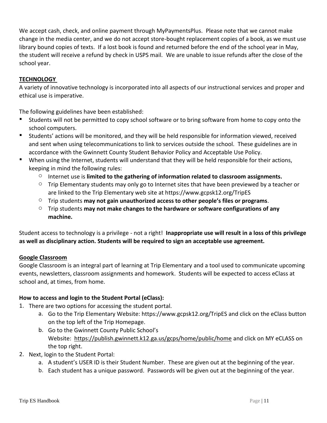We accept cash, check, and online payment through MyPaymentsPlus. Please note that we cannot make change in the media center, and we do not accept store-bought replacement copies of a book, as we must use library bound copies of texts. If a lost book is found and returned before the end of the school year in May, the student will receive a refund by check in USPS mail. We are unable to issue refunds after the close of the school year.

#### **TECHNOLOGY**

A variety of innovative technology is incorporated into all aspects of our instructional services and proper and ethical use is imperative.

The following guidelines have been established:

- Students will not be permitted to copy school software or to bring software from home to copy onto the school computers.
- Students' actions will be monitored, and they will be held responsible for information viewed, received and sent when using telecommunications to link to services outside the school. These guidelines are in accordance with the Gwinnett County Student Behavior Policy and Acceptable Use Policy.
- When using the Internet, students will understand that they will be held responsible for their actions, keeping in mind the following rules:
	- $\circ$  Internet use is **limited to the gathering of information related to classroom assignments.**
	- $\circ$  Trip Elementary students may only go to Internet sites that have been previewed by a teacher or are linked to the Trip Elementary web site at https://www.gcpsk12.org/TripES
	- o Trip students **may not gain unauthorized access to other people's files or programs**.
	- o Trip students **may not make changes to the hardware or software configurations of any machine.**

Student access to technology is a privilege - not a right! **Inappropriate use will result in a loss of this privilege as well as disciplinary action. Students will be required to sign an acceptable use agreement.**

#### **Google Classroom**

Google Classroom is an integral part of learning at Trip Elementary and a tool used to communicate upcoming events, newsletters, classroom assignments and homework. Students will be expected to access eClass at school and, at times, from home.

#### **How to access and login to the Student Portal (eClass):**

- 1. There are two options for accessing the student portal.
	- a. Go to the Trip Elementary Website: https://www.gcpsk12.org/TripES and click on the eClass button on the top left of the Trip Homepage.
	- b. Go to the Gwinnett County Public School's Website: <https://publish.gwinnett.k12.ga.us/gcps/home/public/home> and click on MY eCLASS on the top right.
- 2. Next, login to the Student Portal:
	- a. A student's USER ID is their Student Number. These are given out at the beginning of the year.
	- b. Each student has a unique password. Passwords will be given out at the beginning of the year.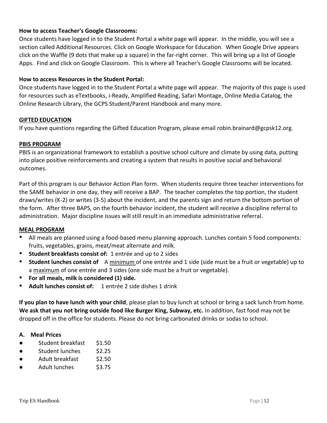#### **How to access Teacher's Google Classrooms:**

Once students have logged in to the Student Portal a white page will appear. In the middle, you will see a section called Additional Resources. Click on Google Workspace for Education. When Google Drive appears click on the Waffle (9 dots that make up a square) in the far-right corner. This will bring up a list of Google Apps. Find and click on Google Classroom. This is where all Teacher's Google Classrooms will be located.

#### **How to access Resources in the Student Portal:**

Once students have logged in to the Student Portal a white page will appear. The majority of this page is used for resources such as eTextbooks, i-Ready, Amplified Reading, Safari Montage, Online Media Catalog, the Online Research Library, the GCPS Student/Parent Handbook and many more.

#### **GIFTED EDUCATION**

If you have questions regarding the Gifted Education Program, please email robin.brainard@gcpsk12.org.

#### **PBIS PROGRAM**

PBIS is an organizational framework to establish a positive school culture and climate by using data, putting into place positive reinforcements and creating a system that results in positive social and behavioral outcomes.

Part of this program is our Behavior Action Plan form. When students require three teacher interventions for the SAME behavior in one day, they will receive a BAP. The teacher completes the top portion, the student draws/writes (K-2) or writes (3-5) about the incident, and the parents sign and return the bottom portion of the form. After three BAPS, on the fourth behavior incident, the student will receive a discipline referral to administration. Major discipline issues will still result in an immediate administrative referral.

#### **MEAL PROGRAM**

- All meals are planned using a food-based menu planning approach. Lunches contain 5 food components: fruits, vegetables, grains, meat/meat alternate and milk.
- **Student breakfasts consist of:** 1 entrée and up to 2 sides
- **Student lunches consist of** A minimum of one entrée and 1 side (side must be a fruit or vegetable) up to a maximum of one entrée and 3 sides (one side must be a fruit or vegetable).
- **For all meals, milk is considered (1) side.**
- **Adult lunches consist of:** 1 entrée 2 side dishes 1 drink

**If you plan to have lunch with your child**, please plan to buy lunch at school or bring a sack lunch from home. **We ask that you not bring outside food like Burger King, Subway, etc.** In addition, fast food may not be dropped off in the office for students. Please do not bring carbonated drinks or sodas to school.

#### **A. Meal Prices**

- Student breakfast \$1.50
- Student lunches \$2.25
- Adult breakfast \$2.50
- Adult lunches \$3.75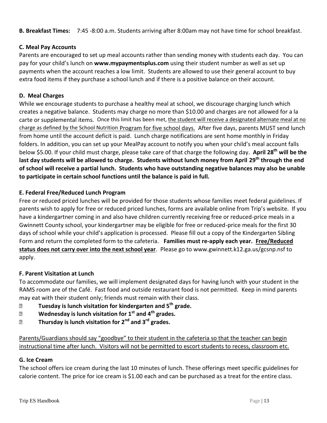**B. Breakfast Times:** 7:45 -8:00 a.m. Students arriving after 8:00am may not have time for school breakfast.

#### **C. Meal Pay Accounts**

Parents are encouraged to set up meal accounts rather than sending money with students each day. You can pay for your child's lunch on **www.mypaymentsplus.com** using their student number as well as set up payments when the account reaches a low limit. Students are allowed to use their general account to buy extra food items if they purchase a school lunch and if there is a positive balance on their account.

#### **D. Meal Charges**

While we encourage students to purchase a healthy meal at school, we discourage charging lunch which creates a negative balance. Students may charge no more than \$10.00 and charges are not allowed for a la carte or supplemental items. Once this limit has been met, the student will receive a designated alternate meal at no charge as defined by the School Nutrition Program for five school days. After five days, parents MUST send lunch from home until the account deficit is paid. Lunch charge notifications are sent home monthly in Friday folders. In addition, you can set up your MealPay account to notify you when your child's meal account falls below \$5.00. If your child must charge, please take care of that charge the following day. **April 28 th will be the last day students will be allowed to charge. Students without lunch money from April 29th through the end of school will receive a partial lunch. Students who have outstanding negative balances may also be unable to participate in certain school functions until the balance is paid in full.**

#### **E. Federal Free/Reduced Lunch Program**

Free or reduced priced lunches will be provided for those students whose families meet federal guidelines. If parents wish to apply for free or reduced priced lunches, forms are available online from Trip's website. If you have a kindergartner coming in and also have children currently receiving free or reduced-price meals in a Gwinnett County school, your kindergartner may be eligible for free or reduced-price meals for the first 30 days of school while your child's application is processed. Please fill out a copy of the Kindergarten Sibling Form and return the completed form to the cafeteria. **Families must re-apply each year. Free/Reduced status does not carry over into the next school year**. Please go to www.gwinnett.k12.ga.us/gcsnp.nsf to apply.

#### **F. Parent Visitation at Lunch**

To accommodate our families, we will implement designated days for having lunch with your student in the RAMS room are of the Café. Fast food and outside restaurant food is not permitted. Keep in mind parents may eat with their student only; friends must remain with their class.

- ⮚ **Tuesday is lunch visitation for kindergarten and 5th grade.**
- ⮚ **Wednesday is lunch visitation for 1st and 4th grades.**
- ⮚ **Thursday is lunch visitation for 2nd and 3rd grades.**

Parents/Guardians should say "goodbye" to their student in the cafeteria so that the teacher can begin instructional time after lunch. Visitors will not be permitted to escort students to recess, classroom etc.

#### **G. Ice Cream**

The school offers ice cream during the last 10 minutes of lunch. These offerings meet specific guidelines for calorie content. The price for ice cream is \$1.00 each and can be purchased as a treat for the entire class.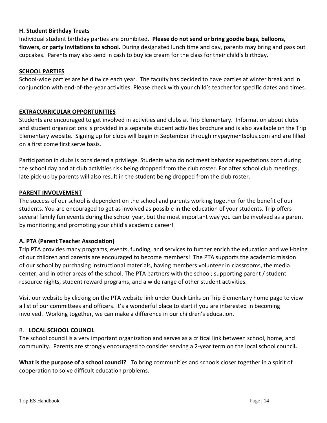#### **H. Student Birthday Treats**

Individual student birthday parties are prohibited**. Please do not send or bring goodie bags, balloons, flowers, or party invitations to school.** During designated lunch time and day, parents may bring and pass out cupcakes. Parents may also send in cash to buy ice cream for the class for their child's birthday.

#### **SCHOOL PARTIES**

School-wide parties are held twice each year. The faculty has decided to have parties at winter break and in conjunction with end-of-the-year activities. Please check with your child's teacher for specific dates and times.

#### **EXTRACURRICULAR OPPORTUNITIES**

Students are encouraged to get involved in activities and clubs at Trip Elementary. Information about clubs and student organizations is provided in a separate student activities brochure and is also available on the Trip Elementary website. Signing up for clubs will begin in September through mypaymentsplus.com and are filled on a first come first serve basis.

Participation in clubs is considered a privilege. Students who do not meet behavior expectations both during the school day and at club activities risk being dropped from the club roster. For after school club meetings, late pick-up by parents will also result in the student being dropped from the club roster.

#### **PARENT INVOLVEMENT**

The success of our school is dependent on the school and parents working together for the benefit of our students. You are encouraged to get as involved as possible in the education of your students. Trip offers several family fun events during the school year, but the most important way you can be involved as a parent by monitoring and promoting your child's academic career!

#### **A. PTA (Parent Teacher Association)**

Trip PTA provides many programs, events, funding, and services to further enrich the education and well-being of our children and parents are encouraged to become members! The PTA supports the academic mission of our school by purchasing instructional materials, having members volunteer in classrooms, the media center, and in other areas of the school. The PTA partners with the school; supporting parent / student resource nights, student reward programs, and a wide range of other student activities.

Visit our website by clicking on the PTA website link under Quick Links on Trip Elementary home page to view a list of our committees and officers. It's a wonderful place to start if you are interested in becoming involved. Working together, we can make a difference in our children's education.

#### B. **LOCAL SCHOOL COUNCIL**

The school council is a very important organization and serves as a critical link between school, home, and community. Parents are strongly encouraged to consider serving a 2-year term on the local school council*.*

**What is the purpose of a school council?** To bring communities and schools closer together in a spirit of cooperation to solve difficult education problems.